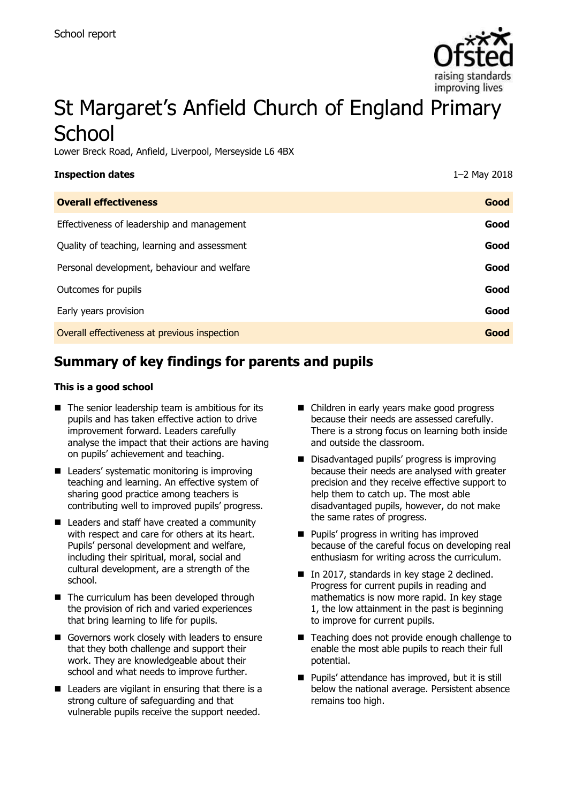

# St Margaret's Anfield Church of England Primary **School**

Lower Breck Road, Anfield, Liverpool, Merseyside L6 4BX

| <b>Inspection dates</b>                      | 1-2 May 2018 |
|----------------------------------------------|--------------|
| <b>Overall effectiveness</b>                 | Good         |
| Effectiveness of leadership and management   | Good         |
| Quality of teaching, learning and assessment | Good         |
| Personal development, behaviour and welfare  | Good         |
| Outcomes for pupils                          | Good         |
| Early years provision                        | Good         |
| Overall effectiveness at previous inspection | Good         |
|                                              |              |

# **Summary of key findings for parents and pupils**

#### **This is a good school**

- $\blacksquare$  The senior leadership team is ambitious for its pupils and has taken effective action to drive improvement forward. Leaders carefully analyse the impact that their actions are having on pupils' achievement and teaching.
- Leaders' systematic monitoring is improving teaching and learning. An effective system of sharing good practice among teachers is contributing well to improved pupils' progress.
- Leaders and staff have created a community with respect and care for others at its heart. Pupils' personal development and welfare, including their spiritual, moral, social and cultural development, are a strength of the school.
- The curriculum has been developed through the provision of rich and varied experiences that bring learning to life for pupils.
- Governors work closely with leaders to ensure that they both challenge and support their work. They are knowledgeable about their school and what needs to improve further.
- Leaders are vigilant in ensuring that there is a strong culture of safeguarding and that vulnerable pupils receive the support needed.
- Children in early years make good progress because their needs are assessed carefully. There is a strong focus on learning both inside and outside the classroom.
- Disadvantaged pupils' progress is improving because their needs are analysed with greater precision and they receive effective support to help them to catch up. The most able disadvantaged pupils, however, do not make the same rates of progress.
- **Pupils' progress in writing has improved** because of the careful focus on developing real enthusiasm for writing across the curriculum.
- In 2017, standards in key stage 2 declined. Progress for current pupils in reading and mathematics is now more rapid. In key stage 1, the low attainment in the past is beginning to improve for current pupils.
- Teaching does not provide enough challenge to enable the most able pupils to reach their full potential.
- **Pupils' attendance has improved, but it is still** below the national average. Persistent absence remains too high.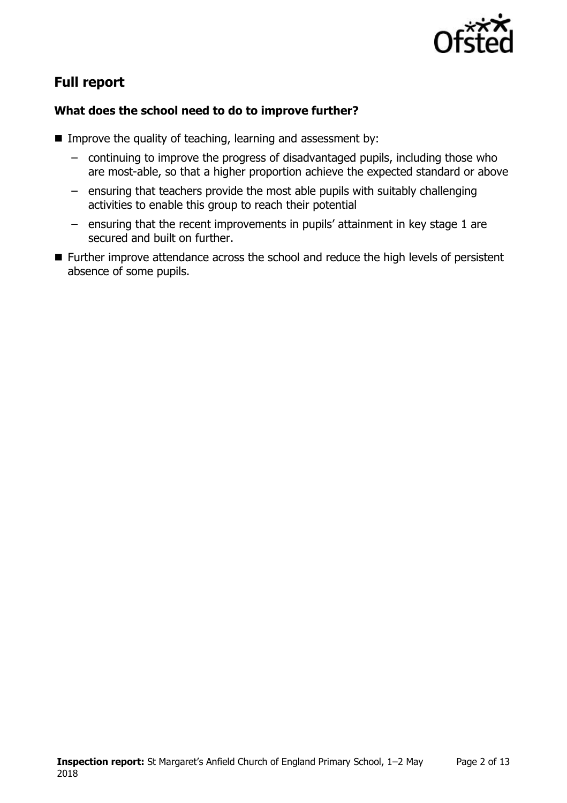

# **Full report**

#### **What does the school need to do to improve further?**

- Improve the quality of teaching, learning and assessment by:
	- continuing to improve the progress of disadvantaged pupils, including those who are most-able, so that a higher proportion achieve the expected standard or above
	- ensuring that teachers provide the most able pupils with suitably challenging activities to enable this group to reach their potential
	- ensuring that the recent improvements in pupils' attainment in key stage 1 are secured and built on further.
- Further improve attendance across the school and reduce the high levels of persistent absence of some pupils.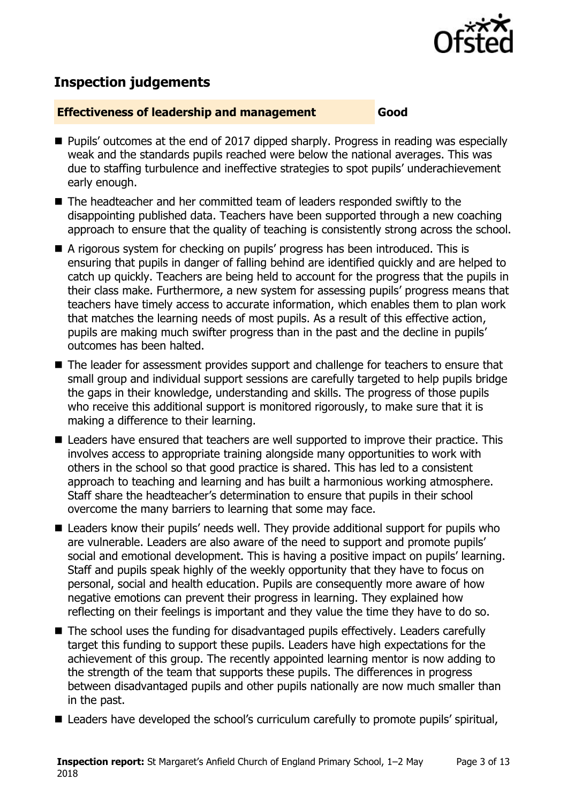

# **Inspection judgements**

#### **Effectiveness of leadership and management Good**

- Pupils' outcomes at the end of 2017 dipped sharply. Progress in reading was especially weak and the standards pupils reached were below the national averages. This was due to staffing turbulence and ineffective strategies to spot pupils' underachievement early enough.
- The headteacher and her committed team of leaders responded swiftly to the disappointing published data. Teachers have been supported through a new coaching approach to ensure that the quality of teaching is consistently strong across the school.
- A rigorous system for checking on pupils' progress has been introduced. This is ensuring that pupils in danger of falling behind are identified quickly and are helped to catch up quickly. Teachers are being held to account for the progress that the pupils in their class make. Furthermore, a new system for assessing pupils' progress means that teachers have timely access to accurate information, which enables them to plan work that matches the learning needs of most pupils. As a result of this effective action, pupils are making much swifter progress than in the past and the decline in pupils' outcomes has been halted.
- The leader for assessment provides support and challenge for teachers to ensure that small group and individual support sessions are carefully targeted to help pupils bridge the gaps in their knowledge, understanding and skills. The progress of those pupils who receive this additional support is monitored rigorously, to make sure that it is making a difference to their learning.
- Leaders have ensured that teachers are well supported to improve their practice. This involves access to appropriate training alongside many opportunities to work with others in the school so that good practice is shared. This has led to a consistent approach to teaching and learning and has built a harmonious working atmosphere. Staff share the headteacher's determination to ensure that pupils in their school overcome the many barriers to learning that some may face.
- Leaders know their pupils' needs well. They provide additional support for pupils who are vulnerable. Leaders are also aware of the need to support and promote pupils' social and emotional development. This is having a positive impact on pupils' learning. Staff and pupils speak highly of the weekly opportunity that they have to focus on personal, social and health education. Pupils are consequently more aware of how negative emotions can prevent their progress in learning. They explained how reflecting on their feelings is important and they value the time they have to do so.
- The school uses the funding for disadvantaged pupils effectively. Leaders carefully target this funding to support these pupils. Leaders have high expectations for the achievement of this group. The recently appointed learning mentor is now adding to the strength of the team that supports these pupils. The differences in progress between disadvantaged pupils and other pupils nationally are now much smaller than in the past.
- Leaders have developed the school's curriculum carefully to promote pupils' spiritual,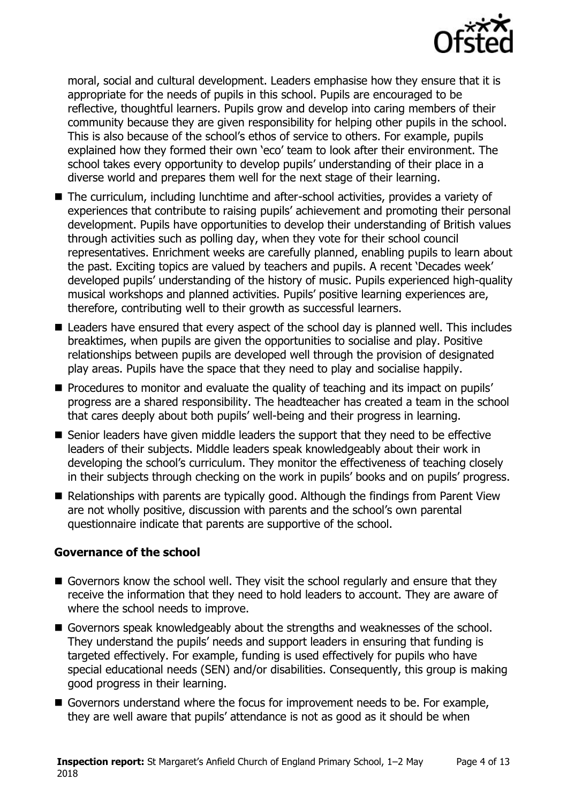

moral, social and cultural development. Leaders emphasise how they ensure that it is appropriate for the needs of pupils in this school. Pupils are encouraged to be reflective, thoughtful learners. Pupils grow and develop into caring members of their community because they are given responsibility for helping other pupils in the school. This is also because of the school's ethos of service to others. For example, pupils explained how they formed their own 'eco' team to look after their environment. The school takes every opportunity to develop pupils' understanding of their place in a diverse world and prepares them well for the next stage of their learning.

- The curriculum, including lunchtime and after-school activities, provides a variety of experiences that contribute to raising pupils' achievement and promoting their personal development. Pupils have opportunities to develop their understanding of British values through activities such as polling day, when they vote for their school council representatives. Enrichment weeks are carefully planned, enabling pupils to learn about the past. Exciting topics are valued by teachers and pupils. A recent 'Decades week' developed pupils' understanding of the history of music. Pupils experienced high-quality musical workshops and planned activities. Pupils' positive learning experiences are, therefore, contributing well to their growth as successful learners.
- Leaders have ensured that every aspect of the school day is planned well. This includes breaktimes, when pupils are given the opportunities to socialise and play. Positive relationships between pupils are developed well through the provision of designated play areas. Pupils have the space that they need to play and socialise happily.
- **Procedures to monitor and evaluate the quality of teaching and its impact on pupils'** progress are a shared responsibility. The headteacher has created a team in the school that cares deeply about both pupils' well-being and their progress in learning.
- Senior leaders have given middle leaders the support that they need to be effective leaders of their subjects. Middle leaders speak knowledgeably about their work in developing the school's curriculum. They monitor the effectiveness of teaching closely in their subjects through checking on the work in pupils' books and on pupils' progress.
- Relationships with parents are typically good. Although the findings from Parent View are not wholly positive, discussion with parents and the school's own parental questionnaire indicate that parents are supportive of the school.

#### **Governance of the school**

- Governors know the school well. They visit the school regularly and ensure that they receive the information that they need to hold leaders to account. They are aware of where the school needs to improve.
- Governors speak knowledgeably about the strengths and weaknesses of the school. They understand the pupils' needs and support leaders in ensuring that funding is targeted effectively. For example, funding is used effectively for pupils who have special educational needs (SEN) and/or disabilities. Consequently, this group is making good progress in their learning.
- Governors understand where the focus for improvement needs to be. For example, they are well aware that pupils' attendance is not as good as it should be when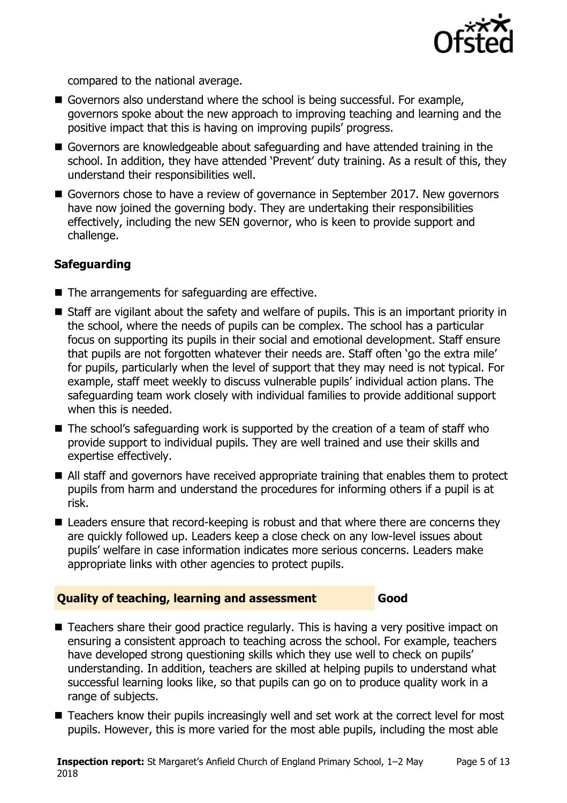

compared to the national average.

- Governors also understand where the school is being successful. For example, governors spoke about the new approach to improving teaching and learning and the positive impact that this is having on improving pupils' progress.
- Governors are knowledgeable about safeguarding and have attended training in the school. In addition, they have attended 'Prevent' duty training. As a result of this, they understand their responsibilities well.
- Governors chose to have a review of governance in September 2017. New governors have now joined the governing body. They are undertaking their responsibilities effectively, including the new SEN governor, who is keen to provide support and challenge.

#### **Safeguarding**

- The arrangements for safeguarding are effective.
- Staff are vigilant about the safety and welfare of pupils. This is an important priority in the school, where the needs of pupils can be complex. The school has a particular focus on supporting its pupils in their social and emotional development. Staff ensure that pupils are not forgotten whatever their needs are. Staff often 'go the extra mile' for pupils, particularly when the level of support that they may need is not typical. For example, staff meet weekly to discuss vulnerable pupils' individual action plans. The safeguarding team work closely with individual families to provide additional support when this is needed.
- The school's safeguarding work is supported by the creation of a team of staff who provide support to individual pupils. They are well trained and use their skills and expertise effectively.
- All staff and governors have received appropriate training that enables them to protect pupils from harm and understand the procedures for informing others if a pupil is at risk.
- Leaders ensure that record-keeping is robust and that where there are concerns they are quickly followed up. Leaders keep a close check on any low-level issues about pupils' welfare in case information indicates more serious concerns. Leaders make appropriate links with other agencies to protect pupils.

#### **Quality of teaching, learning and assessment Good**

- Teachers share their good practice regularly. This is having a very positive impact on ensuring a consistent approach to teaching across the school. For example, teachers have developed strong questioning skills which they use well to check on pupils' understanding. In addition, teachers are skilled at helping pupils to understand what successful learning looks like, so that pupils can go on to produce quality work in a range of subjects.
- Teachers know their pupils increasingly well and set work at the correct level for most pupils. However, this is more varied for the most able pupils, including the most able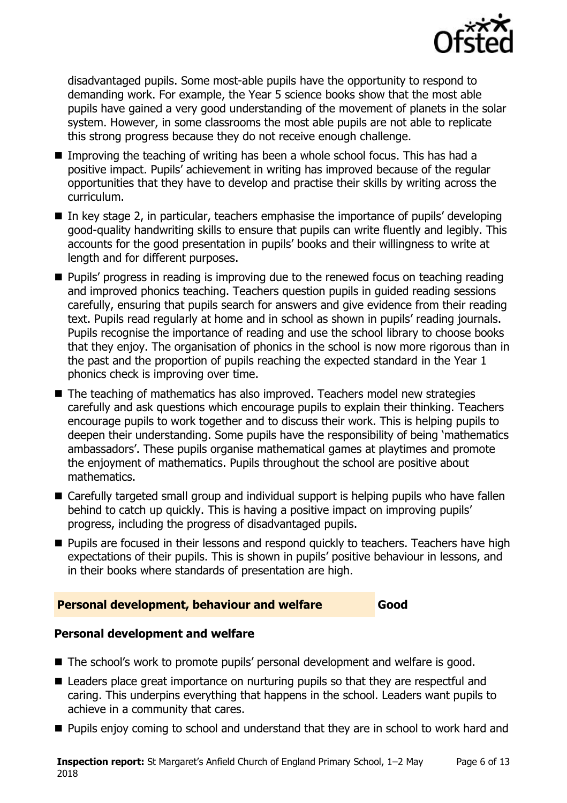

disadvantaged pupils. Some most-able pupils have the opportunity to respond to demanding work. For example, the Year 5 science books show that the most able pupils have gained a very good understanding of the movement of planets in the solar system. However, in some classrooms the most able pupils are not able to replicate this strong progress because they do not receive enough challenge.

- Improving the teaching of writing has been a whole school focus. This has had a positive impact. Pupils' achievement in writing has improved because of the regular opportunities that they have to develop and practise their skills by writing across the curriculum.
- $\blacksquare$  In key stage 2, in particular, teachers emphasise the importance of pupils' developing good-quality handwriting skills to ensure that pupils can write fluently and legibly. This accounts for the good presentation in pupils' books and their willingness to write at length and for different purposes.
- **Pupils'** progress in reading is improving due to the renewed focus on teaching reading and improved phonics teaching. Teachers question pupils in guided reading sessions carefully, ensuring that pupils search for answers and give evidence from their reading text. Pupils read regularly at home and in school as shown in pupils' reading journals. Pupils recognise the importance of reading and use the school library to choose books that they enjoy. The organisation of phonics in the school is now more rigorous than in the past and the proportion of pupils reaching the expected standard in the Year 1 phonics check is improving over time.
- The teaching of mathematics has also improved. Teachers model new strategies carefully and ask questions which encourage pupils to explain their thinking. Teachers encourage pupils to work together and to discuss their work. This is helping pupils to deepen their understanding. Some pupils have the responsibility of being 'mathematics ambassadors'. These pupils organise mathematical games at playtimes and promote the enjoyment of mathematics. Pupils throughout the school are positive about mathematics.
- Carefully targeted small group and individual support is helping pupils who have fallen behind to catch up quickly. This is having a positive impact on improving pupils' progress, including the progress of disadvantaged pupils.
- **Pupils are focused in their lessons and respond quickly to teachers. Teachers have high** expectations of their pupils. This is shown in pupils' positive behaviour in lessons, and in their books where standards of presentation are high.

#### **Personal development, behaviour and welfare Good**

### **Personal development and welfare**

- The school's work to promote pupils' personal development and welfare is good.
- Leaders place great importance on nurturing pupils so that they are respectful and caring. This underpins everything that happens in the school. Leaders want pupils to achieve in a community that cares.
- **Pupils enjoy coming to school and understand that they are in school to work hard and**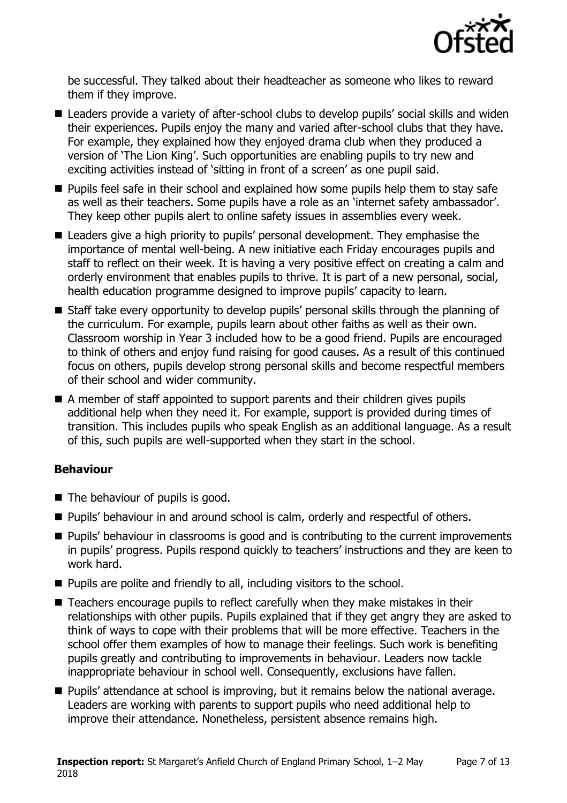

be successful. They talked about their headteacher as someone who likes to reward them if they improve.

- Leaders provide a variety of after-school clubs to develop pupils' social skills and widen their experiences. Pupils enjoy the many and varied after-school clubs that they have. For example, they explained how they enjoyed drama club when they produced a version of 'The Lion King'. Such opportunities are enabling pupils to try new and exciting activities instead of 'sitting in front of a screen' as one pupil said.
- **Pupils feel safe in their school and explained how some pupils help them to stay safe** as well as their teachers. Some pupils have a role as an 'internet safety ambassador'. They keep other pupils alert to online safety issues in assemblies every week.
- Leaders give a high priority to pupils' personal development. They emphasise the importance of mental well-being. A new initiative each Friday encourages pupils and staff to reflect on their week. It is having a very positive effect on creating a calm and orderly environment that enables pupils to thrive. It is part of a new personal, social, health education programme designed to improve pupils' capacity to learn.
- Staff take every opportunity to develop pupils' personal skills through the planning of the curriculum. For example, pupils learn about other faiths as well as their own. Classroom worship in Year 3 included how to be a good friend. Pupils are encouraged to think of others and enjoy fund raising for good causes. As a result of this continued focus on others, pupils develop strong personal skills and become respectful members of their school and wider community.
- A member of staff appointed to support parents and their children gives pupils additional help when they need it. For example, support is provided during times of transition. This includes pupils who speak English as an additional language. As a result of this, such pupils are well-supported when they start in the school.

### **Behaviour**

- The behaviour of pupils is good.
- **Pupils' behaviour in and around school is calm, orderly and respectful of others.**
- **Pupils' behaviour in classrooms is good and is contributing to the current improvements** in pupils' progress. Pupils respond quickly to teachers' instructions and they are keen to work hard.
- **Pupils are polite and friendly to all, including visitors to the school.**
- Teachers encourage pupils to reflect carefully when they make mistakes in their relationships with other pupils. Pupils explained that if they get angry they are asked to think of ways to cope with their problems that will be more effective. Teachers in the school offer them examples of how to manage their feelings. Such work is benefiting pupils greatly and contributing to improvements in behaviour. Leaders now tackle inappropriate behaviour in school well. Consequently, exclusions have fallen.
- **Pupils' attendance at school is improving, but it remains below the national average.** Leaders are working with parents to support pupils who need additional help to improve their attendance. Nonetheless, persistent absence remains high.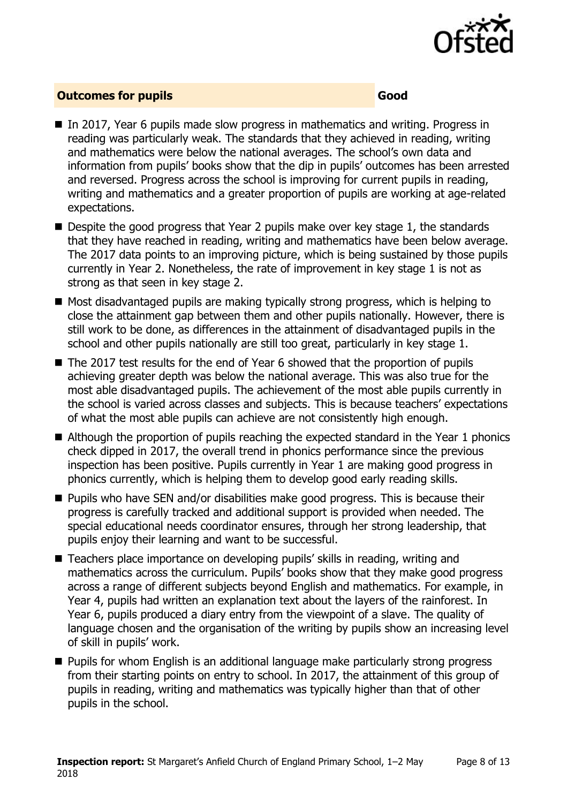

#### **Outcomes for pupils Good Good**

- In 2017, Year 6 pupils made slow progress in mathematics and writing. Progress in reading was particularly weak. The standards that they achieved in reading, writing and mathematics were below the national averages. The school's own data and information from pupils' books show that the dip in pupils' outcomes has been arrested and reversed. Progress across the school is improving for current pupils in reading, writing and mathematics and a greater proportion of pupils are working at age-related expectations.
- Despite the good progress that Year 2 pupils make over key stage 1, the standards that they have reached in reading, writing and mathematics have been below average. The 2017 data points to an improving picture, which is being sustained by those pupils currently in Year 2. Nonetheless, the rate of improvement in key stage 1 is not as strong as that seen in key stage 2.
- Most disadvantaged pupils are making typically strong progress, which is helping to close the attainment gap between them and other pupils nationally. However, there is still work to be done, as differences in the attainment of disadvantaged pupils in the school and other pupils nationally are still too great, particularly in key stage 1.
- The 2017 test results for the end of Year 6 showed that the proportion of pupils achieving greater depth was below the national average. This was also true for the most able disadvantaged pupils. The achievement of the most able pupils currently in the school is varied across classes and subjects. This is because teachers' expectations of what the most able pupils can achieve are not consistently high enough.
- Although the proportion of pupils reaching the expected standard in the Year 1 phonics check dipped in 2017, the overall trend in phonics performance since the previous inspection has been positive. Pupils currently in Year 1 are making good progress in phonics currently, which is helping them to develop good early reading skills.
- **Pupils who have SEN and/or disabilities make good progress. This is because their** progress is carefully tracked and additional support is provided when needed. The special educational needs coordinator ensures, through her strong leadership, that pupils enjoy their learning and want to be successful.
- Teachers place importance on developing pupils' skills in reading, writing and mathematics across the curriculum. Pupils' books show that they make good progress across a range of different subjects beyond English and mathematics. For example, in Year 4, pupils had written an explanation text about the layers of the rainforest. In Year 6, pupils produced a diary entry from the viewpoint of a slave. The quality of language chosen and the organisation of the writing by pupils show an increasing level of skill in pupils' work.
- **Pupils for whom English is an additional language make particularly strong progress** from their starting points on entry to school. In 2017, the attainment of this group of pupils in reading, writing and mathematics was typically higher than that of other pupils in the school.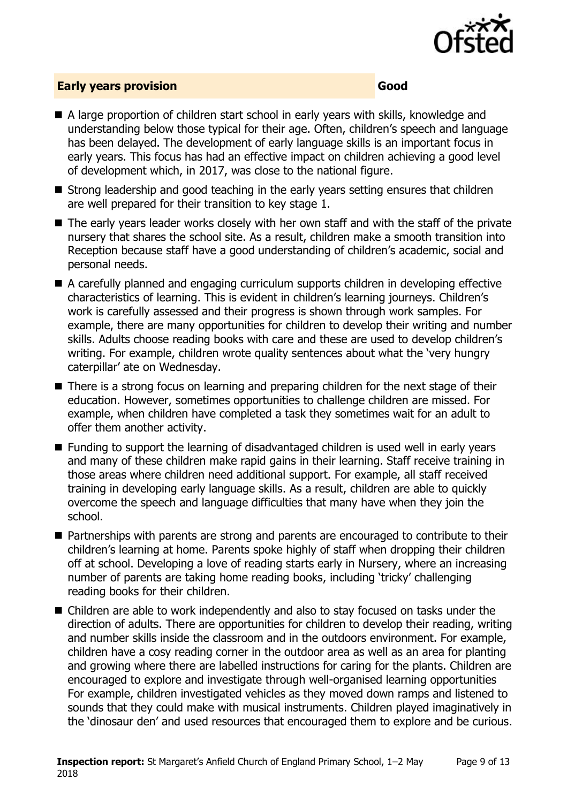

#### **Early years provision Good**

- A large proportion of children start school in early years with skills, knowledge and understanding below those typical for their age. Often, children's speech and language has been delayed. The development of early language skills is an important focus in early years. This focus has had an effective impact on children achieving a good level of development which, in 2017, was close to the national figure.
- Strong leadership and good teaching in the early years setting ensures that children are well prepared for their transition to key stage 1.
- The early years leader works closely with her own staff and with the staff of the private nursery that shares the school site. As a result, children make a smooth transition into Reception because staff have a good understanding of children's academic, social and personal needs.
- A carefully planned and engaging curriculum supports children in developing effective characteristics of learning. This is evident in children's learning journeys. Children's work is carefully assessed and their progress is shown through work samples. For example, there are many opportunities for children to develop their writing and number skills. Adults choose reading books with care and these are used to develop children's writing. For example, children wrote quality sentences about what the 'very hungry caterpillar' ate on Wednesday.
- There is a strong focus on learning and preparing children for the next stage of their education. However, sometimes opportunities to challenge children are missed. For example, when children have completed a task they sometimes wait for an adult to offer them another activity.
- Funding to support the learning of disadvantaged children is used well in early years and many of these children make rapid gains in their learning. Staff receive training in those areas where children need additional support. For example, all staff received training in developing early language skills. As a result, children are able to quickly overcome the speech and language difficulties that many have when they join the school.
- Partnerships with parents are strong and parents are encouraged to contribute to their children's learning at home. Parents spoke highly of staff when dropping their children off at school. Developing a love of reading starts early in Nursery, where an increasing number of parents are taking home reading books, including 'tricky' challenging reading books for their children.
- Children are able to work independently and also to stay focused on tasks under the direction of adults. There are opportunities for children to develop their reading, writing and number skills inside the classroom and in the outdoors environment. For example, children have a cosy reading corner in the outdoor area as well as an area for planting and growing where there are labelled instructions for caring for the plants. Children are encouraged to explore and investigate through well-organised learning opportunities For example, children investigated vehicles as they moved down ramps and listened to sounds that they could make with musical instruments. Children played imaginatively in the 'dinosaur den' and used resources that encouraged them to explore and be curious.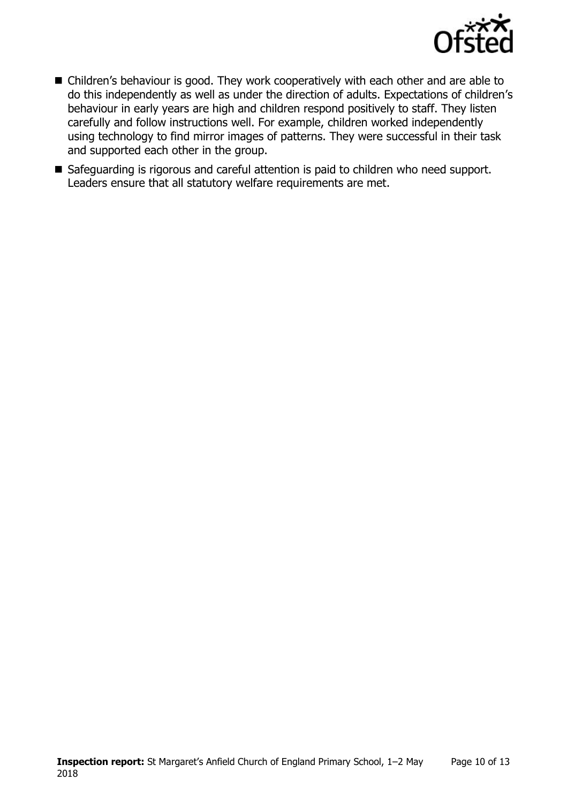

- Children's behaviour is good. They work cooperatively with each other and are able to do this independently as well as under the direction of adults. Expectations of children's behaviour in early years are high and children respond positively to staff. They listen carefully and follow instructions well. For example, children worked independently using technology to find mirror images of patterns. They were successful in their task and supported each other in the group.
- Safeguarding is rigorous and careful attention is paid to children who need support. Leaders ensure that all statutory welfare requirements are met.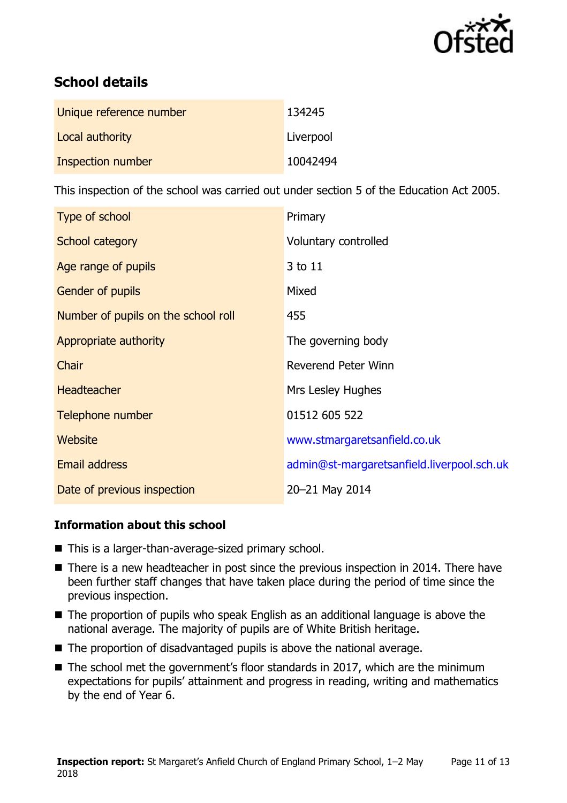

# **School details**

| Unique reference number | 134245    |
|-------------------------|-----------|
| Local authority         | Liverpool |
| Inspection number       | 10042494  |

This inspection of the school was carried out under section 5 of the Education Act 2005.

| Type of school                      | Primary                                    |
|-------------------------------------|--------------------------------------------|
| School category                     | Voluntary controlled                       |
| Age range of pupils                 | 3 to 11                                    |
| Gender of pupils                    | Mixed                                      |
| Number of pupils on the school roll | 455                                        |
| Appropriate authority               | The governing body                         |
| Chair                               | Reverend Peter Winn                        |
| <b>Headteacher</b>                  | Mrs Lesley Hughes                          |
| Telephone number                    | 01512 605 522                              |
| Website                             | www.stmargaretsanfield.co.uk               |
| Email address                       | admin@st-margaretsanfield.liverpool.sch.uk |
| Date of previous inspection         | 20-21 May 2014                             |

#### **Information about this school**

- This is a larger-than-average-sized primary school.
- There is a new headteacher in post since the previous inspection in 2014. There have been further staff changes that have taken place during the period of time since the previous inspection.
- The proportion of pupils who speak English as an additional language is above the national average. The majority of pupils are of White British heritage.
- The proportion of disadvantaged pupils is above the national average.
- The school met the government's floor standards in 2017, which are the minimum expectations for pupils' attainment and progress in reading, writing and mathematics by the end of Year 6.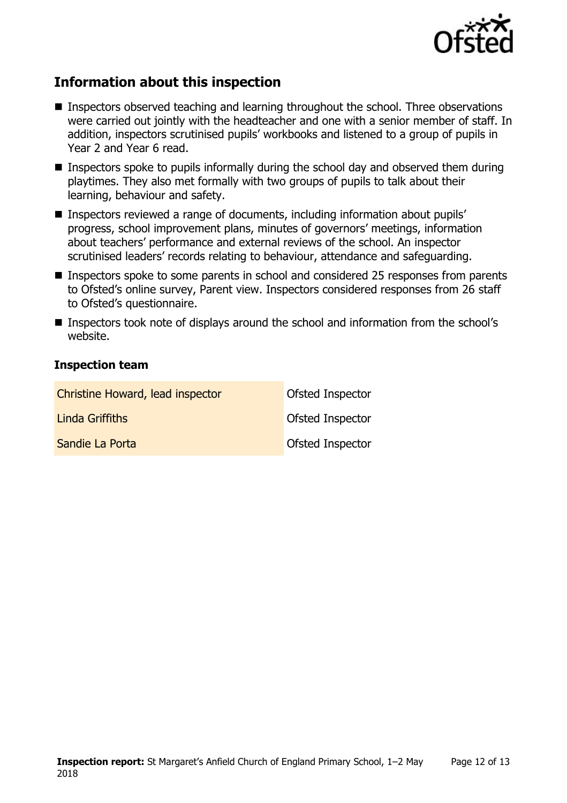

## **Information about this inspection**

- Inspectors observed teaching and learning throughout the school. Three observations were carried out jointly with the headteacher and one with a senior member of staff. In addition, inspectors scrutinised pupils' workbooks and listened to a group of pupils in Year 2 and Year 6 read.
- Inspectors spoke to pupils informally during the school day and observed them during playtimes. They also met formally with two groups of pupils to talk about their learning, behaviour and safety.
- Inspectors reviewed a range of documents, including information about pupils' progress, school improvement plans, minutes of governors' meetings, information about teachers' performance and external reviews of the school. An inspector scrutinised leaders' records relating to behaviour, attendance and safeguarding.
- Inspectors spoke to some parents in school and considered 25 responses from parents to Ofsted's online survey, Parent view. Inspectors considered responses from 26 staff to Ofsted's questionnaire.
- Inspectors took note of displays around the school and information from the school's website.

#### **Inspection team**

| Christine Howard, lead inspector | Ofsted Inspector |
|----------------------------------|------------------|
| Linda Griffiths                  | Ofsted Inspector |
| Sandie La Porta                  | Ofsted Inspector |